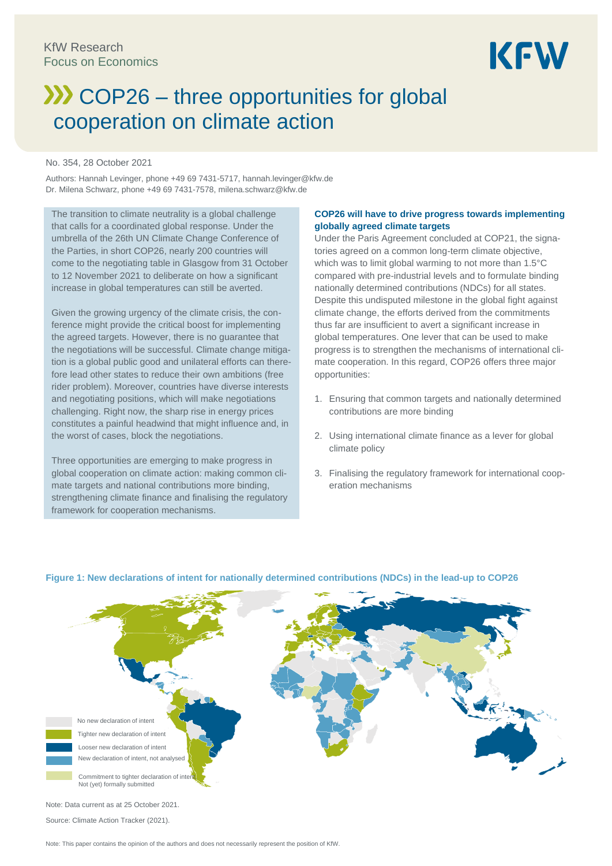# **XX** COP26 – three opportunities for global cooperation on climate action

#### No. 354, 28 October 2021

Authors: Hannah Levinger, phone +49 69 7431-5717, hannah.levinger@kfw.de Dr. Milena Schwarz, phone +49 69 7431-7578, milena.schwarz@kfw.de

The transition to climate neutrality is a global challenge that calls for a coordinated global response. Under the umbrella of the 26th UN Climate Change Conference of the Parties, in short COP26, nearly 200 countries will come to the negotiating table in Glasgow from 31 October to 12 November 2021 to deliberate on how a significant increase in global temperatures can still be averted.

Given the growing urgency of the climate crisis, the conference might provide the critical boost for implementing the agreed targets. However, there is no guarantee that the negotiations will be successful. Climate change mitigation is a global public good and unilateral efforts can therefore lead other states to reduce their own ambitions (free rider problem). Moreover, countries have diverse interests and negotiating positions, which will make negotiations challenging. Right now, the sharp rise in energy prices constitutes a painful headwind that might influence and, in the worst of cases, block the negotiations.

Three opportunities are emerging to make progress in global cooperation on climate action: making common climate targets and national contributions more binding, strengthening climate finance and finalising the regulatory framework for cooperation mechanisms.

### **COP26 will have to drive progress towards implementing globally agreed climate targets**

Under the Paris Agreement concluded at COP21, the signatories agreed on a common long-term climate objective, which was to limit global warming to not more than 1.5°C compared with pre-industrial levels and to formulate binding nationally determined contributions (NDCs) for all states. Despite this undisputed milestone in the global fight against climate change, the efforts derived from the commitments thus far are insufficient to avert a significant increase in global temperatures. One lever that can be used to make progress is to strengthen the mechanisms of international climate cooperation. In this regard, COP26 offers three major opportunities:

- 1. Ensuring that common targets and nationally determined contributions are more binding
- 2. Using international climate finance as a lever for global climate policy
- 3. Finalising the regulatory framework for international cooperation mechanisms



#### **Figure 1: New declarations of intent for nationally determined contributions (NDCs) in the lead-up to COP26**

Note: This paper contains the opinion of the authors and does not necessarily represent the position of KfW.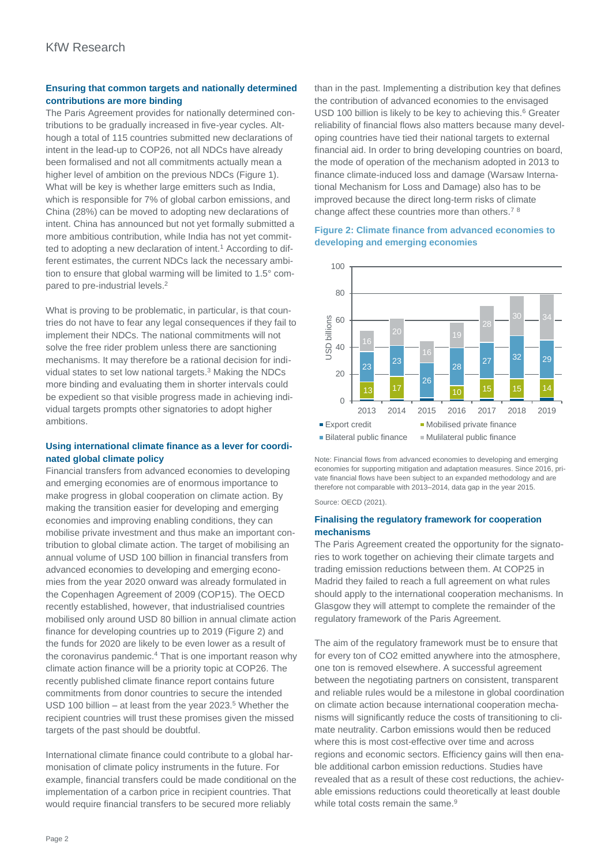# **Ensuring that common targets and nationally determined contributions are more binding**

The Paris Agreement provides for nationally determined contributions to be gradually increased in five-year cycles. Although a total of 115 countries submitted new declarations of intent in the lead-up to COP26, not all NDCs have already been formalised and not all commitments actually mean a higher level of ambition on the previous NDCs (Figure 1). What will be key is whether large emitters such as India, which is responsible for 7% of global carbon emissions, and China (28%) can be moved to adopting new declarations of intent. China has announced but not yet formally submitted a more ambitious contribution, while India has not yet committed to adopting a new declaration of intent.<sup>1</sup> According to different estimates, the current NDCs lack the necessary ambition to ensure that global warming will be limited to 1.5° compared to pre-industrial levels.<sup>2</sup>

What is proving to be problematic, in particular, is that countries do not have to fear any legal consequences if they fail to implement their NDCs. The national commitments will not solve the free rider problem unless there are sanctioning mechanisms. It may therefore be a rational decision for individual states to set low national targets.<sup>3</sup> Making the NDCs more binding and evaluating them in shorter intervals could be expedient so that visible progress made in achieving individual targets prompts other signatories to adopt higher ambitions.

# **Using international climate finance as a lever for coordinated global climate policy**

Financial transfers from advanced economies to developing and emerging economies are of enormous importance to make progress in global cooperation on climate action. By making the transition easier for developing and emerging economies and improving enabling conditions, they can mobilise private investment and thus make an important contribution to global climate action. The target of mobilising an annual volume of USD 100 billion in financial transfers from advanced economies to developing and emerging economies from the year 2020 onward was already formulated in the Copenhagen Agreement of 2009 (COP15). The OECD recently established, however, that industrialised countries mobilised only around USD 80 billion in annual climate action finance for developing countries up to 2019 (Figure 2) and the funds for 2020 are likely to be even lower as a result of the coronavirus pandemic.<sup>4</sup> That is one important reason why climate action finance will be a priority topic at COP26. The recently published climate finance report contains future commitments from donor countries to secure the intended USD 100 billion – at least from the year 2023.<sup>5</sup> Whether the recipient countries will trust these promises given the missed targets of the past should be doubtful.

International climate finance could contribute to a global harmonisation of climate policy instruments in the future. For example, financial transfers could be made conditional on the implementation of a carbon price in recipient countries. That would require financial transfers to be secured more reliably

than in the past. Implementing a distribution key that defines the contribution of advanced economies to the envisaged USD 100 billion is likely to be key to achieving this.<sup>6</sup> Greater reliability of financial flows also matters because many developing countries have tied their national targets to external financial aid. In order to bring developing countries on board, the mode of operation of the mechanism adopted in 2013 to finance climate-induced loss and damage (Warsaw International Mechanism for Loss and Damage) also has to be improved because the direct long-term risks of climate change affect these countries more than others.<sup>7</sup> <sup>8</sup>

## **Figure 2: Climate finance from advanced economies to developing and emerging economies**



Note: Financial flows from advanced economies to developing and emerging economies for supporting mitigation and adaptation measures. Since 2016, private financial flows have been subject to an expanded methodology and are therefore not comparable with 2013–2014, data gap in the year 2015.

Source: OECD (2021).

#### **Finalising the regulatory framework for cooperation mechanisms**

The Paris Agreement created the opportunity for the signatories to work together on achieving their climate targets and trading emission reductions between them. At COP25 in Madrid they failed to reach a full agreement on what rules should apply to the international cooperation mechanisms. In Glasgow they will attempt to complete the remainder of the regulatory framework of the Paris Agreement.

The aim of the regulatory framework must be to ensure that for every ton of CO2 emitted anywhere into the atmosphere, one ton is removed elsewhere. A successful agreement between the negotiating partners on consistent, transparent and reliable rules would be a milestone in global coordination on climate action because international cooperation mechanisms will significantly reduce the costs of transitioning to climate neutrality. Carbon emissions would then be reduced where this is most cost-effective over time and across regions and economic sectors. Efficiency gains will then enable additional carbon emission reductions. Studies have revealed that as a result of these cost reductions, the achievable emissions reductions could theoretically at least double while total costs remain the same.<sup>9</sup>